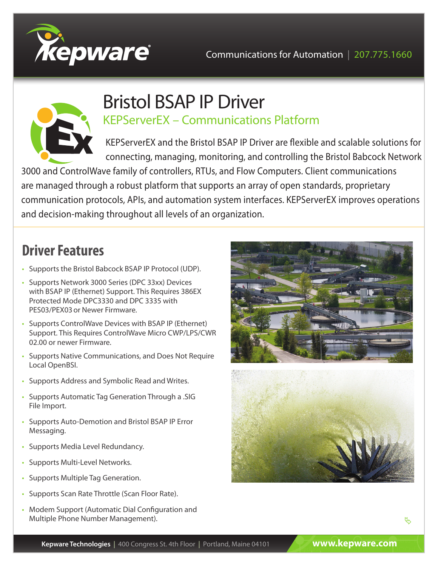



## Bristol BSAP IP Driver KEPServerEX – Communications Platform

KEPServerEX and the Bristol BSAP IP Driver are flexible and scalable solutions for connecting, managing, monitoring, and controlling the Bristol Babcock Network

3000 and ControlWave family of controllers, RTUs, and Flow Computers. Client communications are managed through a robust platform that supports an array of open standards, proprietary communication protocols, APIs, and automation system interfaces. KEPServerEX improves operations and decision-making throughout all levels of an organization.

# **Driver Features**

- Supports the Bristol Babcock BSAP IP Protocol (UDP).
- Supports Network 3000 Series (DPC 33xx) Devices with BSAP IP (Ethernet) Support. This Requires 386EX Protected Mode DPC3330 and DPC 3335 with PES03/PEX03or Newer Firmware.
- Supports ControlWave Devices with BSAP IP (Ethernet) Support. This Requires ControlWave Micro CWP/LPS/CWR 02.00 or newer Firmware.
- Supports Native Communications, and Does Not Require Local OpenBSI.
- Supports Address and Symbolic Read and Writes.
- Supports Automatic Tag Generation Through a .SIG File Import.
- Supports Auto-Demotion and Bristol BSAP IP Error Messaging.
- Supports Media Level Redundancy.
- Supports Multi-Level Networks.
- Supports Multiple Tag Generation.
- Supports Scan Rate Throttle (Scan Floor Rate).
- Modem Support (Automatic Dial Configuration and Multiple Phone Number Management).